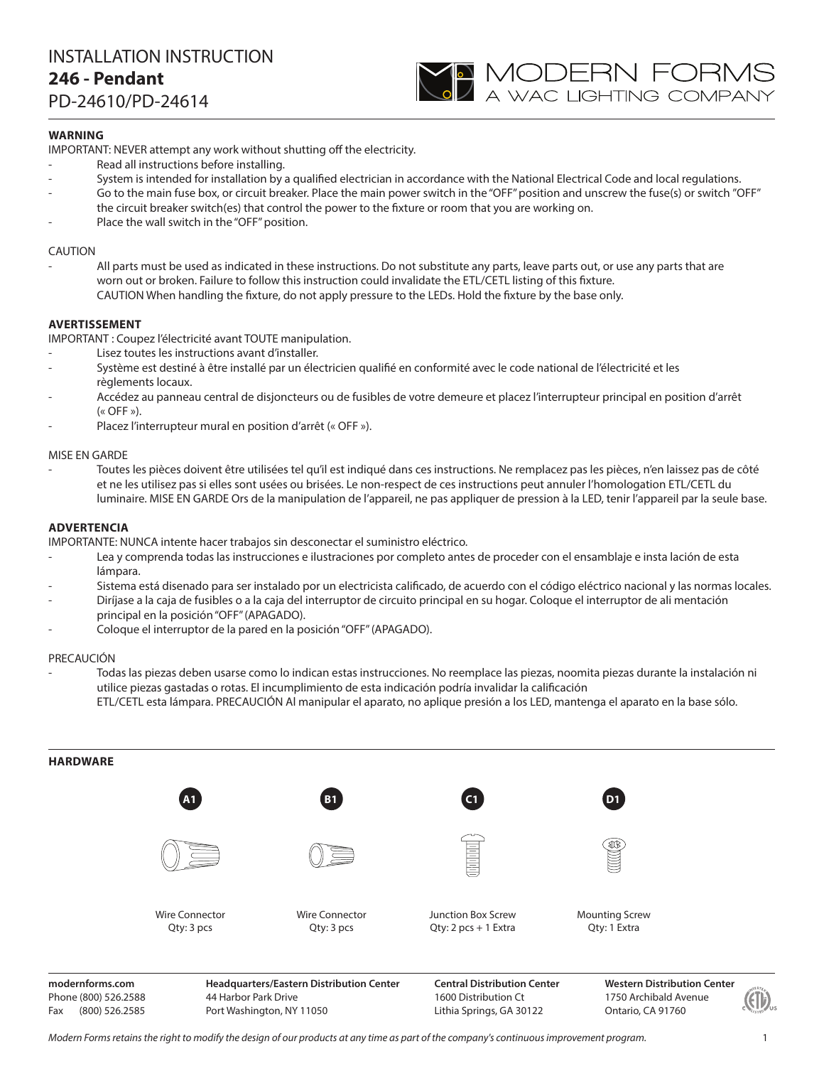# INSTALLATION INSTRUCTION **246 - Pendant** PD-24610/PD-24614



## **WARNING**

IMPORTANT: NEVER attempt any work without shutting off the electricity.

- Read all instructions before installing.
- System is intended for installation by a qualified electrician in accordance with the National Electrical Code and local regulations.
- Go to the main fuse box, or circuit breaker. Place the main power switch in the "OFF" position and unscrew the fuse(s) or switch "OFF" the circuit breaker switch(es) that control the power to the fixture or room that you are working on.
- Place the wall switch in the "OFF" position.

### CAUTION

All parts must be used as indicated in these instructions. Do not substitute any parts, leave parts out, or use any parts that are worn out or broken. Failure to follow this instruction could invalidate the ETL/CETL listing of this fixture. CAUTION When handling the fixture, do not apply pressure to the LEDs. Hold the fixture by the base only.

### **AVERTISSEMENT**

IMPORTANT : Coupez l'électricité avant TOUTE manipulation.

- Lisez toutes les instructions avant d'installer.
- Système est destiné à être installé par un électricien qualifié en conformité avec le code national de l'électricité et les règlements locaux.
- Accédez au panneau central de disjoncteurs ou de fusibles de votre demeure et placez l'interrupteur principal en position d'arrêt  $(\kappa$  OFF »).
- Placez l'interrupteur mural en position d'arrêt (« OFF »).

### MISE EN GARDE

- Toutes les pièces doivent être utilisées tel qu'il est indiqué dans ces instructions. Ne remplacez pas les pièces, n'en laissez pas de côté et ne les utilisez pas si elles sont usées ou brisées. Le non-respect de ces instructions peut annuler l'homologation ETL/CETL du luminaire. MISE EN GARDE Ors de la manipulation de l'appareil, ne pas appliquer de pression à la LED, tenir l'appareil par la seule base.

### **ADVERTENCIA**

IMPORTANTE: NUNCA intente hacer trabajos sin desconectar el suministro eléctrico.

- Lea y comprenda todas las instrucciones e ilustraciones por completo antes de proceder con el ensamblaje e insta lación de esta lámpara.
- Sistema está disenado para ser instalado por un electricista calificado, de acuerdo con el código eléctrico nacional y las normas locales.
- Diríjase a la caja de fusibles o a la caja del interruptor de circuito principal en su hogar. Coloque el interruptor de ali mentación principal en la posición "OFF" (APAGADO).
- Coloque el interruptor de la pared en la posición "OFF" (APAGADO).

#### PRECAUCIÓN

- Todas las piezas deben usarse como lo indican estas instrucciones. No reemplace las piezas, noomita piezas durante la instalación ni utilice piezas gastadas o rotas. El incumplimiento de esta indicación podría invalidar la calificación ETL/CETL esta lámpara. PRECAUCIÓN Al manipular el aparato, no aplique presión a los LED, mantenga el aparato en la base sólo.



Phone (800) 526.2588 Fax (800) 526.2585

44 Harbor Park Drive Port Washington, NY 11050

1600 Distribution Ct Lithia Springs, GA 30122 **Western Distribution Center**  1750 Archibald Avenue Ontario, CA 91760